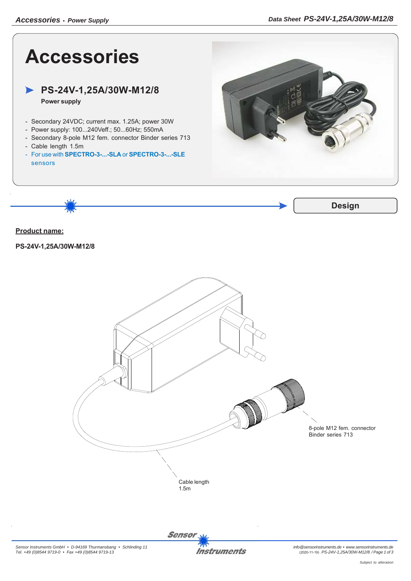



**Sensor**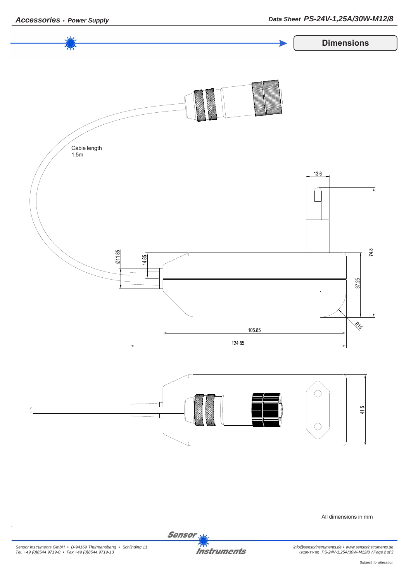

All dimensions in mm

Sensor<sub>N</sub>

**Instruments**